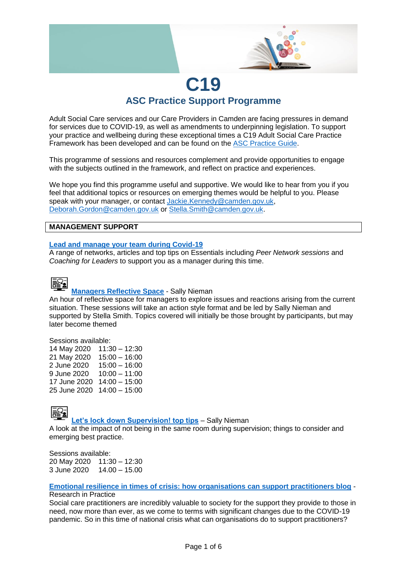

# **C19 ASC Practice Support Programme**

Adult Social Care services and our Care Providers in Camden are facing pressures in demand for services due to COVID-19, as well as amendments to underpinning legislation. To support your practice and wellbeing during these exceptional times a C19 Adult Social Care Practice Framework has been developed and can be found on the [ASC Practice](https://ascpractice.camden.gov.uk/) Guide.

This programme of sessions and resources complement and provide opportunities to engage with the subjects outlined in the framework, and reflect on practice and experiences.

We hope you find this programme useful and supportive. We would like to hear from you if you feel that additional topics or resources on emerging themes would be helpful to you. Please speak with your manager, or contact [Jackie.Kennedy@camden.gov.uk,](mailto:Jackie.Kennedy@camden.gov.uk) [Deborah.Gordon@camden.gov.uk](mailto:Deborah.Gordon@camden.gov.uk) or [Stella.Smith@camden.gov.uk.](mailto:Stella.Smith@camden.gov.uk)

#### **MANAGEMENT SUPPORT**

#### **[Lead and manage your team during Covid-19](https://lbcamden.sharepoint.com/sites/intranet/HR/Pages/Lead-and-manage-your-team-during-Covid-19.aspx)**

A range of networks, articles and top tips on Essentials including *Peer Network sessions* and *Coaching for Leaders* to support you as a manager during this time.



#### **[Managers Reflective Space](https://camden.learningpool.com/course/view.php?id=866)** - Sally Nieman

An hour of reflective space for managers to explore issues and reactions arising from the current situation. These sessions will take an action style format and be led by Sally Nieman and supported by Stella Smith. Topics covered will initially be those brought by participants, but may later become themed

#### Sessions available:

14 May 2020 11:30 – 12:30 21 May 2020 15:00 – 16:00 2 June 2020 15:00 – 16:00 9 June 2020 10:00 – 11:00 17 June 2020 14:00 – 15:00 25 June 2020 14:00 – 15:00



**[Let's lock down Supervision! top tips](https://camden.learningpool.com/course/view.php?id=865)** – Sally Nieman

A look at the impact of not being in the same room during supervision; things to consider and emerging best practice.

Sessions available: 20 May 2020 11:30 – 12:30 3 June 2020 14.00 – 15.00

#### **[Emotional resilience in times of crisis: how organisations can support practitioners](https://www.researchinpractice.org.uk/all/news-views/2020/april/emotional-resilience-in-times-of-crisis-how-organisations-can-support-practitioners/) blog** -

#### Research in Practice

Social care practitioners are incredibly valuable to society for the support they provide to those in need, now more than ever, as we come to terms with significant changes due to the COVID-19 pandemic. So in this time of national crisis what can organisations do to support practitioners?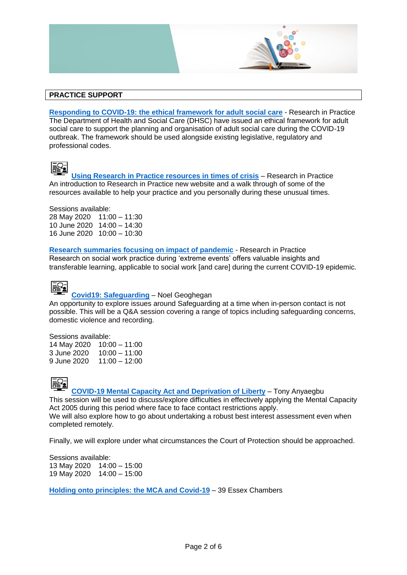

**[Responding to COVID-19: the ethical framework for adult social care](https://protect-eu.mimecast.com/s/MnTEC71ZPuV5QGotq-nd-?domain=researchinpractice.org.uk/)** - Research in Practice The Department of Health and Social Care (DHSC) have issued an ethical framework for adult social care to support the planning and organisation of adult social care during the COVID-19 outbreak. The framework should be used alongside existing legislative, regulatory and professional codes.



**[Using Research in Practice resources in times of crisis](https://camden.learningpool.com/course/view.php?id=867)** – Research in Practice An introduction to Research in Practice new website and a walk through of some of the resources available to help your practice and you personally during these unusual times.

Sessions available: 28 May 2020 11:00 – 11:30 10 June 2020 14:00 – 14:30 16 June 2020 10:00 – 10:30

**[Research summaries focusing on impact of pandemic](https://www.researchinpractice.org.uk/all/content-pages/research-summaries/research-summary-april-2020/)** - Research in Practice Research on social work practice during 'extreme events' offers valuable insights and transferable learning, applicable to social work [and care] during the current COVID-19 epidemic.



#### **[Covid19: Safeguarding](https://camden.learningpool.com/course/view.php?id=862)** – Noel Geoghegan

An opportunity to explore issues around Safeguarding at a time when in-person contact is not possible. This will be a Q&A session covering a range of topics including safeguarding concerns, domestic violence and recording.

Sessions available:

14 May 2020 10:00 – 11:00 3 June 2020 10:00 – 11:00 9 June 2020 11:00 – 12:00



**[COVID-19 Mental Capacity Act and Deprivation of Liberty](https://camden.learningpool.com/course/view.php?id=861)** – Tony Anyaegbu

This session will be used to discuss/explore difficulties in effectively applying the Mental Capacity Act 2005 during this period where face to face contact restrictions apply. We will also explore how to go about undertaking a robust best interest assessment even when completed remotely.

Finally, we will explore under what circumstances the Court of Protection should be approached.

Sessions available: 13 May 2020 14:00 – 15:00 19 May 2020 14:00 – 15:00

**[Holding onto principles: the MCA and Covid-19](https://www.39essex.com/holding-onto-principles-the-mca-and-covid-19/)** – 39 Essex Chambers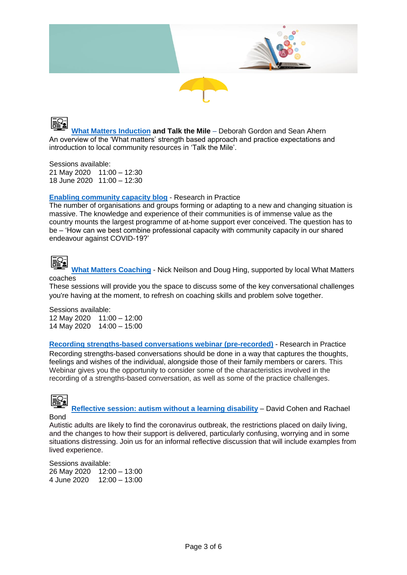



**[What Matters Induction](https://camden.learningpool.com/course/view.php?id=856) and Talk the Mile** – Deborah Gordon and Sean Ahern An overview of the 'What matters' strength based approach and practice expectations and introduction to local community resources in 'Talk the Mile'.

Sessions available: 21 May 2020 11:00 – 12:30 18 June 2020 11:00 – 12:30

#### **[Enabling community capacity blog](https://www.researchinpractice.org.uk/all/news-views/2020/april/enabling-community-capacity-during-covid-19/)** - Research in Practice

The number of organisations and groups forming or adapting to a new and changing situation is massive. The knowledge and experience of their communities is of immense value as the country mounts the largest programme of at-home support ever conceived. The question has to be – 'How can we best combine professional capacity with community capacity in our shared endeavour against COVID-19?'



**[What Matters Coaching](https://camden.learningpool.com/course/view.php?id=859)** - Nick Neilson and Doug Hing, supported by local What Matters coaches

These sessions will provide you the space to discuss some of the key conversational challenges you're having at the moment, to refresh on coaching skills and problem solve together.

Sessions available: 12 May 2020 11:00 – 12:00 14 May 2020 14:00 – 15:00

**[Recording strengths-based conversations webinar \(pre-recorded\)](https://www.researchinpractice.org.uk/adults/content-pages/videos/recording-strengths-based-conversations/)** - Research in Practice Recording strengths-based conversations should be done in a way that captures the thoughts, feelings and wishes of the individual, alongside those of their family members or carers. This Webinar gives you the opportunity to consider some of the characteristics involved in the recording of a strengths-based conversation, as well as some of the practice challenges.

**Reflective session: autism [without a learning disability](https://camden.learningpool.com/course/view.php?id=868)** – David Cohen and Rachael Bond

Autistic adults are likely to find the coronavirus outbreak, the restrictions placed on daily living, and the changes to how their support is delivered, particularly confusing, worrying and in some situations distressing. Join us for an informal reflective discussion that will include examples from lived experience.

Sessions available: 26 May 2020 12:00 – 13:00 4 June 2020 12:00 – 13:00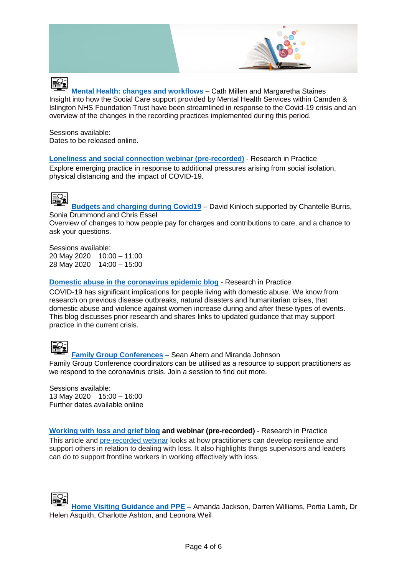

**[Mental Health: changes and workflows](https://camden.learningpool.com/course/view.php?id=863)** – Cath Millen and Margaretha Staines Insight into how the Social Care support provided by Mental Health Services within Camden & Islington NHS Foundation Trust have been streamlined in response to the Covid-19 crisis and an overview of the changes in the recording practices implemented during this period.

Sessions available: Dates to be released online.

**[Loneliness and social connection webinar \(pre-recorded\)](https://www.researchinpractice.org.uk/all/content-pages/videos/loneliness-and-social-connection-good-practice-now-and-in-the-future/)** - Research in Practice Explore emerging practice in response to additional pressures arising from social isolation, physical distancing and the impact of COVID-19.



**[Budgets and charging during Covid19](https://camden.learningpool.com/course/view.php?id=858)** – David Kinloch supported by Chantelle Burris, Sonia Drummond and Chris Essel

Overview of changes to how people pay for charges and contributions to care, and a chance to ask your questions.

Sessions available: 20 May 2020 10:00 – 11:00 28 May 2020 14:00 – 15:00

**[Domestic abuse in the coronavirus epidemic blog](https://www.researchinpractice.org.uk/all/news-views/2020/april/domestic-abuse-in-the-coronavirus-epidemic/)** - Research in Practice

COVID-19 has significant implications for people living with domestic abuse. We know from research on previous disease outbreaks, natural disasters and humanitarian crises, that domestic abuse and violence against women increase during and after these types of events. This blog discusses prior research and shares links to updated guidance that may support practice in the current crisis.



#### **[Family Group Conferences](https://camden.learningpool.com/course/view.php?id=689#section-0)** – Sean Ahern and Miranda Johnson

Family Group Conference coordinators can be utilised as a resource to support practitioners as we respond to the coronavirus crisis. Join a session to find out more.

Sessions available: 13 May 2020 15:00 – 16:00 Further dates available online

**[Working with loss and grief blog](https://www.researchinpractice.org.uk/adults/news-views/2019/june/working-with-loss-and-grief/) and webinar (pre-recorded)** - Research in Practice

This article and [pre-recorded webinar](https://www.researchinpractice.org.uk/adults/content-pages/videos/working-with-loss/) looks at how practitioners can develop resilience and support others in relation to dealing with loss. It also highlights things supervisors and leaders can do to support frontline workers in working effectively with loss.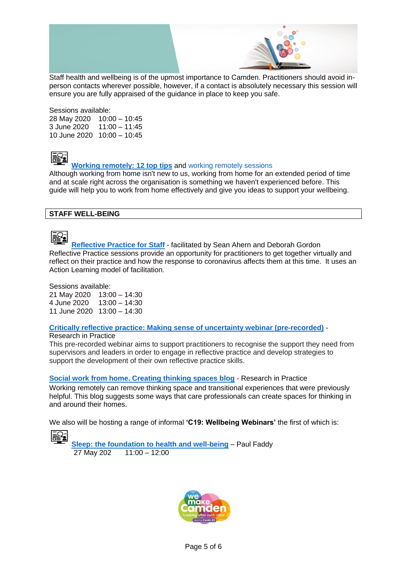

Staff health and wellbeing is of the upmost importance to Camden. Practitioners should avoid inperson contacts wherever possible, however, if a contact is absolutely necessary this session will ensure you are fully appraised of the guidance in place to keep you safe.

Sessions available: 28 May 2020 10:00 – 10:45

3 June 2020 11:00 – 11:45 10 June 2020 10:00 – 10:45



### **[Working remotely: 12 top tips](https://lbcamden.sharepoint.com/sites/intranet/communications/Pages/working-remotely-12-top-tips.aspx)** and [working remotely sessions](https://camden.learningpool.com/login/index.php)

Although working from home isn't new to us, working from home for an extended period of time and at scale right across the organisation is something we haven't experienced before. This guide will help you to work from home effectively and give you ideas to support your wellbeing.

#### **STAFF WELL-BEING**



**[Reflective Practice](https://camden.learningpool.com/course/view.php?id=853) for Staff** - [facilitated by Sean Ahern a](https://camden.learningpool.com/course/view.php?id=853)nd Deborah Gordon Reflective Practice sessions provide an opportunity for practitioners to get together virtually and reflect on their practice and how the response to coronavirus affects them at this time. It uses an Action Learning model of facilitation.

Sessions available:

21 May 2020 13:00 – 14:30 4 June 2020 13:00 – 14:30 11 June 2020 13:00 – 14:30

## **[Critically reflective practice: Making sense of uncertainty webinar](https://www.researchinpractice.org.uk/all/content-pages/videos/critically-reflective-practice-making-sense-of-uncertainty/) (pre-recorded)** -

#### Research in Practice

This pre-recorded webinar aims to support practitioners to recognise the support they need from supervisors and leaders in order to engage in reflective practice and develop strategies to support the development of their own reflective practice skills.

**[Social work from home. Creating thinking spaces blog](https://www.researchinpractice.org.uk/all/news-views/2020/april/social-work-from-home-creating-thinking-spaces/)** - Research in Practice

Working remotely can remove thinking space and transitional experiences that were previously helpful. This blog suggests some ways that care professionals can create spaces for thinking in and around their homes.

We also will be hosting a range of informal **'C19: Wellbeing Webinars'** the first of which is:

i₹

**[Sleep: the foundation to health and well-being](https://camden.learningpool.com/course/view.php?id=860)** – Paul Faddy 27 May 202 11:00 – 12:00